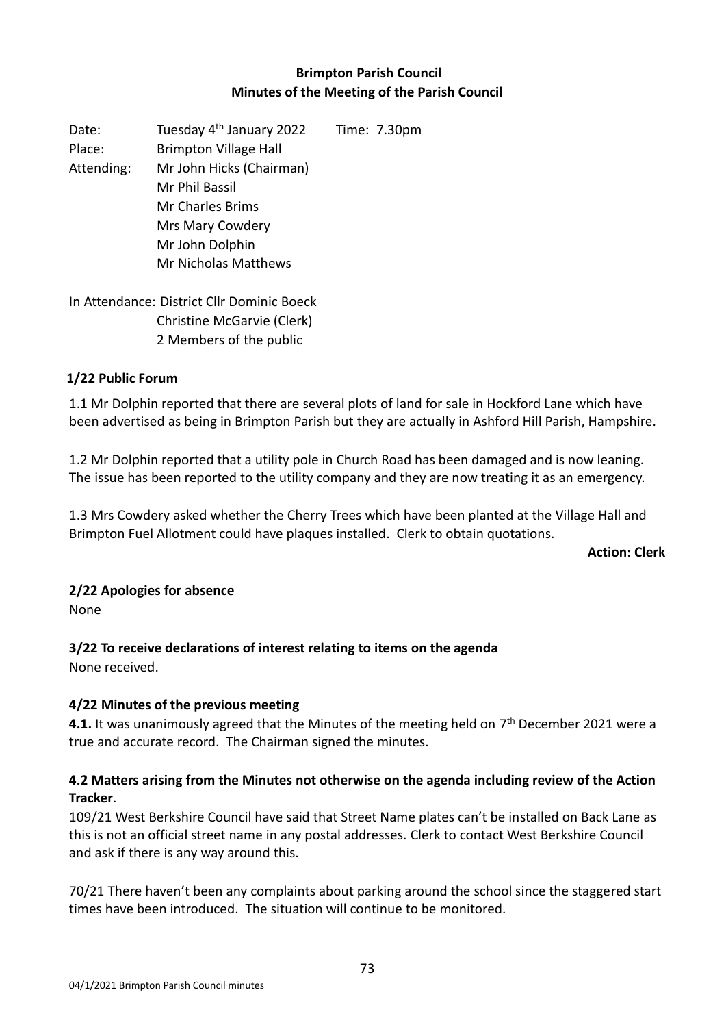## **Brimpton Parish Council Minutes of the Meeting of the Parish Council**

Date: Tuesday 4<sup>th</sup> January 2022 Time: 7.30pm Place: Brimpton Village Hall Attending: Mr John Hicks (Chairman) Mr Phil Bassil Mr Charles Brims Mrs Mary Cowdery Mr John Dolphin Mr Nicholas Matthews

In Attendance: District Cllr Dominic Boeck Christine McGarvie (Clerk) 2 Members of the public

#### **1/22 Public Forum**

1.1 Mr Dolphin reported that there are several plots of land for sale in Hockford Lane which have been advertised as being in Brimpton Parish but they are actually in Ashford Hill Parish, Hampshire.

1.2 Mr Dolphin reported that a utility pole in Church Road has been damaged and is now leaning. The issue has been reported to the utility company and they are now treating it as an emergency.

1.3 Mrs Cowdery asked whether the Cherry Trees which have been planted at the Village Hall and Brimpton Fuel Allotment could have plaques installed. Clerk to obtain quotations.

**Action: Clerk**

#### **2/22 Apologies for absence**

None

#### **3/22 To receive declarations of interest relating to items on the agenda**

None received.

#### **4/22 Minutes of the previous meeting**

**4.1.** It was unanimously agreed that the Minutes of the meeting held on 7<sup>th</sup> December 2021 were a true and accurate record. The Chairman signed the minutes.

### **4.2 Matters arising from the Minutes not otherwise on the agenda including review of the Action Tracker**.

109/21 West Berkshire Council have said that Street Name plates can't be installed on Back Lane as this is not an official street name in any postal addresses. Clerk to contact West Berkshire Council and ask if there is any way around this.

70/21 There haven't been any complaints about parking around the school since the staggered start times have been introduced. The situation will continue to be monitored.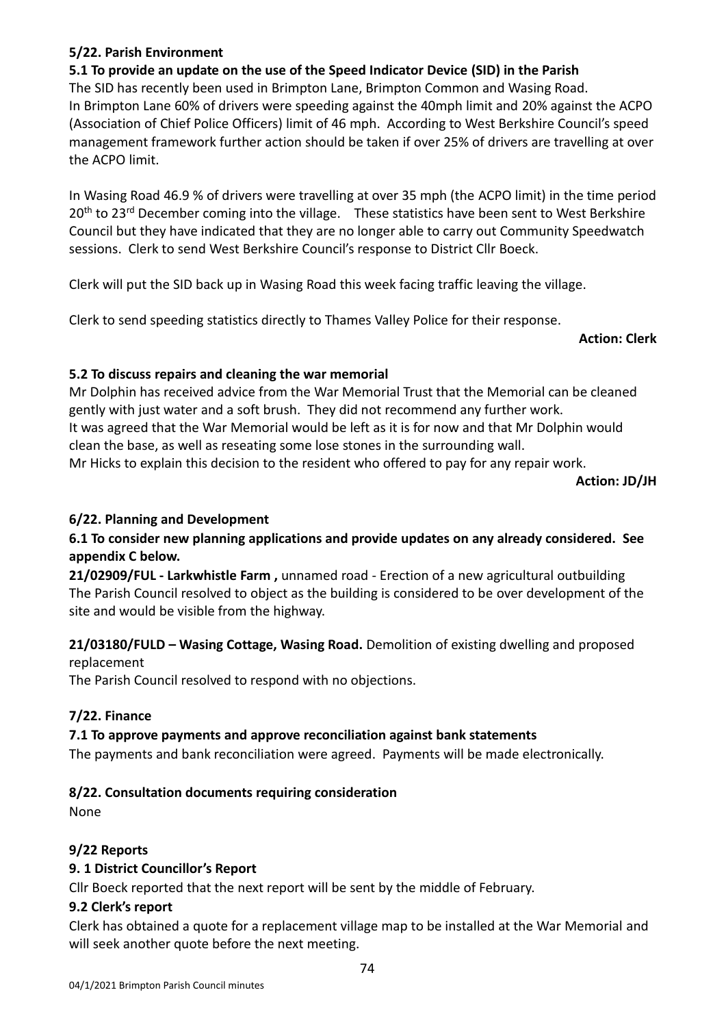#### 04/1/2021 Brimpton Parish Council minutes

#### **5/22. Parish Environment**

#### **5.1 To provide an update on the use of the Speed Indicator Device (SID) in the Parish**

The SID has recently been used in Brimpton Lane, Brimpton Common and Wasing Road. In Brimpton Lane 60% of drivers were speeding against the 40mph limit and 20% against the ACPO (Association of Chief Police Officers) limit of 46 mph. According to West Berkshire Council's speed management framework further action should be taken if over 25% of drivers are travelling at over the ACPO limit.

In Wasing Road 46.9 % of drivers were travelling at over 35 mph (the ACPO limit) in the time period 20<sup>th</sup> to 23<sup>rd</sup> December coming into the village. These statistics have been sent to West Berkshire Council but they have indicated that they are no longer able to carry out Community Speedwatch sessions. Clerk to send West Berkshire Council's response to District Cllr Boeck.

Clerk will put the SID back up in Wasing Road this week facing traffic leaving the village.

Clerk to send speeding statistics directly to Thames Valley Police for their response.

**Action: Clerk** 

#### **5.2 To discuss repairs and cleaning the war memorial**

Mr Dolphin has received advice from the War Memorial Trust that the Memorial can be cleaned gently with just water and a soft brush. They did not recommend any further work. It was agreed that the War Memorial would be left as it is for now and that Mr Dolphin would clean the base, as well as reseating some lose stones in the surrounding wall. Mr Hicks to explain this decision to the resident who offered to pay for any repair work.

**Action: JD/JH**

#### **6/22. Planning and Development**

### **6.1 To consider new planning applications and provide updates on any already considered. See appendix C below.**

**21/02909/FUL - Larkwhistle Farm ,** unnamed road - Erection of a new agricultural outbuilding The Parish Council resolved to object as the building is considered to be over development of the site and would be visible from the highway.

#### **21/03180/FULD – Wasing Cottage, Wasing Road.** Demolition of existing dwelling and proposed replacement

The Parish Council resolved to respond with no objections.

#### **7/22. Finance**

#### **7.1 To approve payments and approve reconciliation against bank statements**

The payments and bank reconciliation were agreed. Payments will be made electronically.

#### **8/22. Consultation documents requiring consideration**

None

#### **9/22 Reports**

#### **9. 1 District Councillor's Report**

Cllr Boeck reported that the next report will be sent by the middle of February.

#### **9.2 Clerk's report**

Clerk has obtained a quote for a replacement village map to be installed at the War Memorial and will seek another quote before the next meeting.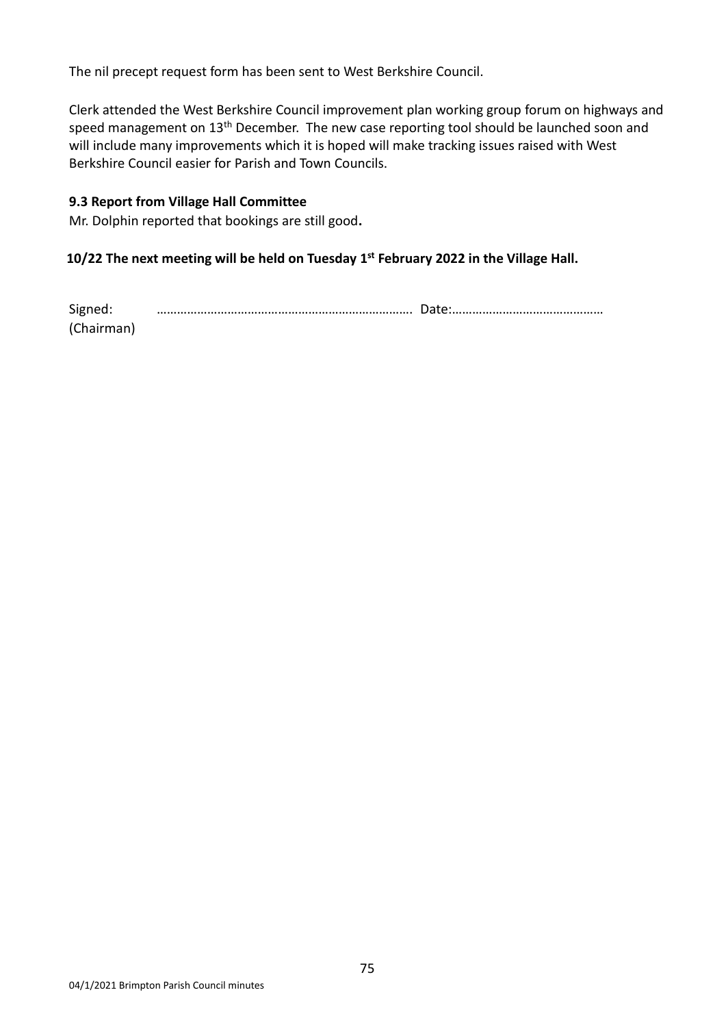The nil precept request form has been sent to West Berkshire Council.

Clerk attended the West Berkshire Council improvement plan working group forum on highways and speed management on 13<sup>th</sup> December. The new case reporting tool should be launched soon and will include many improvements which it is hoped will make tracking issues raised with West Berkshire Council easier for Parish and Town Councils.

#### **9.3 Report from Village Hall Committee**

Mr. Dolphin reported that bookings are still good**.** 

#### **10/22 The next meeting will be held on Tuesday 1 st February 2022 in the Village Hall.**

| Signed:    |  |
|------------|--|
| (Chairman) |  |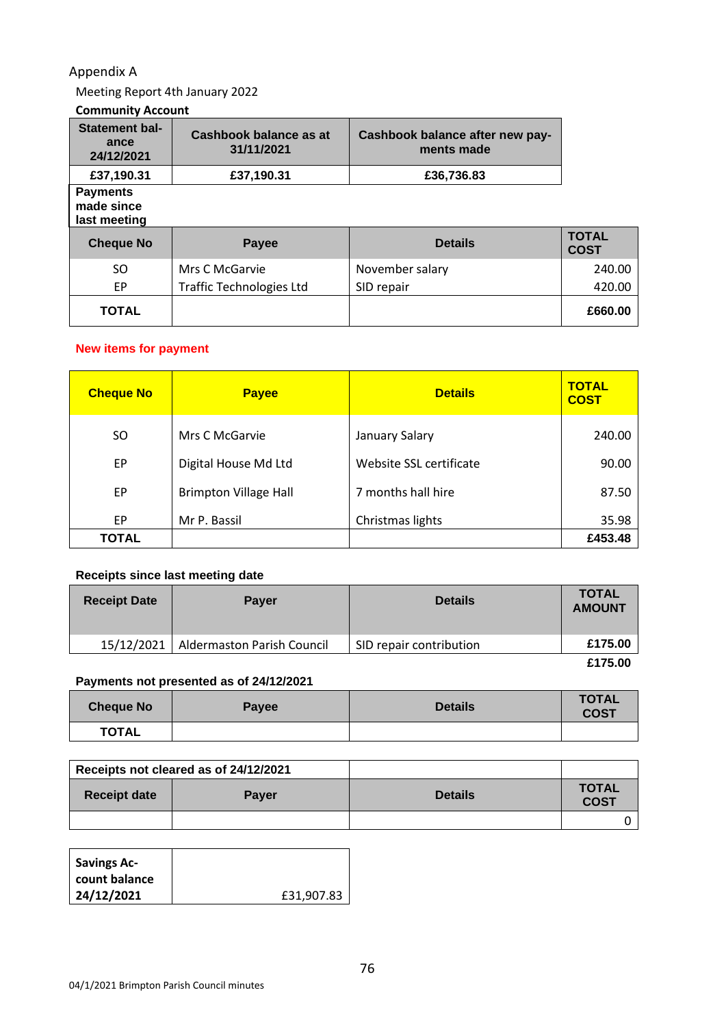### Appendix A

Meeting Report 4th January 2022

# **Community Account**

| <b>Statement bal-</b><br>ance<br>24/12/2021   | Cashbook balance as at<br>31/11/2021 | Cashbook balance after new pay-<br>ments made |                             |
|-----------------------------------------------|--------------------------------------|-----------------------------------------------|-----------------------------|
| £37,190.31                                    | £37,190.31                           | £36,736.83                                    |                             |
| <b>Payments</b><br>made since<br>last meeting |                                      |                                               |                             |
|                                               |                                      |                                               |                             |
| <b>Cheque No</b>                              | Payee                                | <b>Details</b>                                | <b>TOTAL</b><br><b>COST</b> |
| <b>SO</b>                                     | Mrs C McGarvie                       | November salary                               | 240.00                      |
| EP.                                           | <b>Traffic Technologies Ltd</b>      | SID repair                                    | 420.00                      |

#### **New items for payment**

| <b>Cheque No</b> | <b>Payee</b>                 | <b>Details</b>          | <b>TOTAL</b><br><b>COST</b> |
|------------------|------------------------------|-------------------------|-----------------------------|
| SO               | Mrs C McGarvie               | <b>January Salary</b>   | 240.00                      |
| EP               | Digital House Md Ltd         | Website SSL certificate | 90.00                       |
| EP               | <b>Brimpton Village Hall</b> | 7 months hall hire      | 87.50                       |
| EP.              | Mr P. Bassil                 | Christmas lights        | 35.98                       |
| <b>TOTAL</b>     |                              |                         | £453.48                     |

#### **Receipts since last meeting date**

| <b>Receipt Date</b> | <b>Payer</b>               | <b>Details</b>          | <b>TOTAL</b><br><b>AMOUNT</b> |
|---------------------|----------------------------|-------------------------|-------------------------------|
| 15/12/2021          | Aldermaston Parish Council | SID repair contribution | £175.00                       |
|                     |                            |                         | £175.00                       |

### **Payments not presented as of 24/12/2021**

| <b>Cheque No</b> | <b>Payee</b> | <b>Details</b> | <b>TOTAL</b><br><b>COST</b> |
|------------------|--------------|----------------|-----------------------------|
| <b>TOTAL</b>     |              |                |                             |

|                     | Receipts not cleared as of 24/12/2021 |                |                             |
|---------------------|---------------------------------------|----------------|-----------------------------|
| <b>Receipt date</b> | <b>Payer</b>                          | <b>Details</b> | <b>TOTAL</b><br><b>COST</b> |
|                     |                                       |                |                             |

| <b>Savings Ac-</b> |            |
|--------------------|------------|
| count balance      |            |
| 24/12/2021         | £31,907.83 |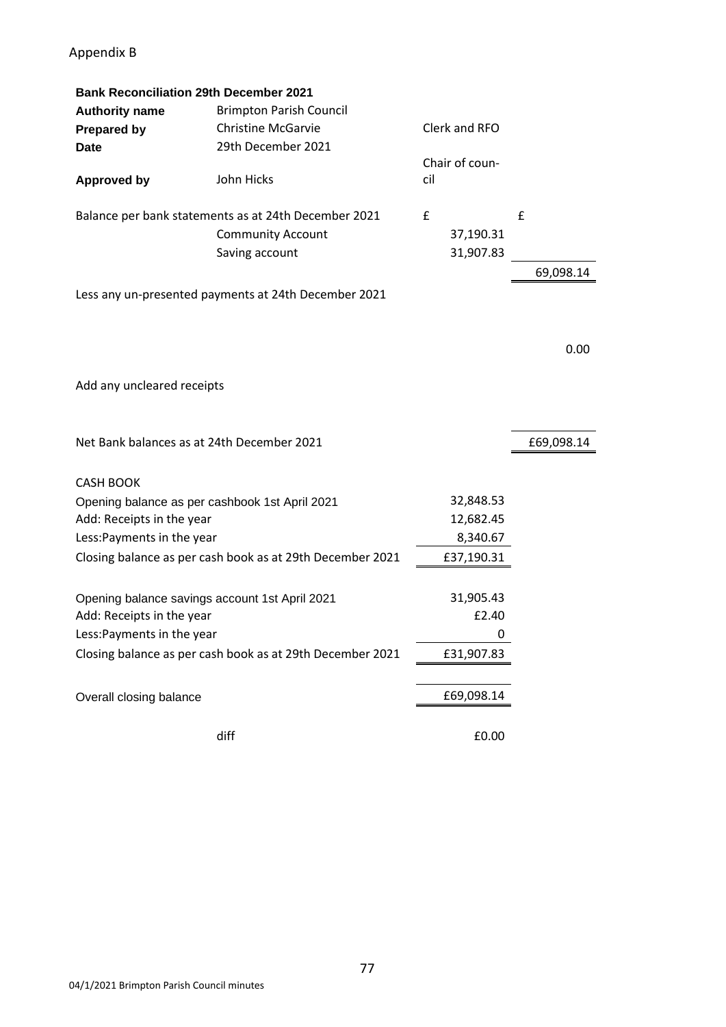## Appendix B

| <b>Bank Reconciliation 29th December 2021</b>  |                                                           |     |                |            |
|------------------------------------------------|-----------------------------------------------------------|-----|----------------|------------|
| <b>Authority name</b>                          | <b>Brimpton Parish Council</b>                            |     |                |            |
| <b>Prepared by</b>                             | <b>Christine McGarvie</b>                                 |     | Clerk and RFO  |            |
| <b>Date</b>                                    | 29th December 2021                                        |     |                |            |
|                                                |                                                           |     | Chair of coun- |            |
| <b>Approved by</b>                             | John Hicks                                                | cil |                |            |
|                                                |                                                           |     |                |            |
|                                                | Balance per bank statements as at 24th December 2021      | £   |                | £          |
|                                                | <b>Community Account</b>                                  |     | 37,190.31      |            |
|                                                | Saving account                                            |     | 31,907.83      |            |
|                                                |                                                           |     |                | 69,098.14  |
|                                                | Less any un-presented payments at 24th December 2021      |     |                |            |
|                                                |                                                           |     |                |            |
|                                                |                                                           |     |                |            |
|                                                |                                                           |     |                | 0.00       |
|                                                |                                                           |     |                |            |
| Add any uncleared receipts                     |                                                           |     |                |            |
|                                                |                                                           |     |                |            |
|                                                |                                                           |     |                |            |
|                                                |                                                           |     |                |            |
| Net Bank balances as at 24th December 2021     |                                                           |     |                | £69,098.14 |
|                                                |                                                           |     |                |            |
| <b>CASH BOOK</b>                               |                                                           |     |                |            |
| Opening balance as per cashbook 1st April 2021 |                                                           |     | 32,848.53      |            |
| Add: Receipts in the year                      |                                                           |     | 12,682.45      |            |
| Less: Payments in the year                     |                                                           |     | 8,340.67       |            |
|                                                | Closing balance as per cash book as at 29th December 2021 |     | £37,190.31     |            |
|                                                |                                                           |     |                |            |
| Opening balance savings account 1st April 2021 |                                                           |     | 31,905.43      |            |
| Add: Receipts in the year                      |                                                           |     | £2.40          |            |
| Less: Payments in the year                     |                                                           |     | 0              |            |
|                                                |                                                           |     | £31,907.83     |            |
|                                                | Closing balance as per cash book as at 29th December 2021 |     |                |            |
|                                                |                                                           |     |                |            |
| Overall closing balance                        |                                                           |     | £69,098.14     |            |
|                                                | diff                                                      |     | £0.00          |            |